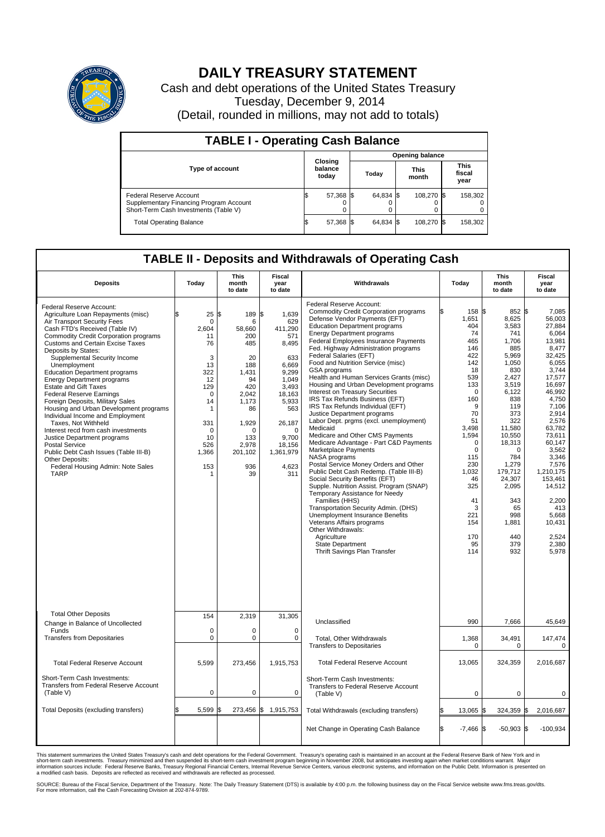

## **DAILY TREASURY STATEMENT**

Cash and debt operations of the United States Treasury Tuesday, December 9, 2014 (Detail, rounded in millions, may not add to totals)

| <b>TABLE I - Operating Cash Balance</b>                                                                     |                             |           |                        |           |  |                      |  |                               |
|-------------------------------------------------------------------------------------------------------------|-----------------------------|-----------|------------------------|-----------|--|----------------------|--|-------------------------------|
|                                                                                                             | Closing<br>balance<br>today |           | <b>Opening balance</b> |           |  |                      |  |                               |
| <b>Type of account</b>                                                                                      |                             |           |                        | Today     |  | <b>This</b><br>month |  | <b>This</b><br>fiscal<br>year |
| Federal Reserve Account<br>Supplementary Financing Program Account<br>Short-Term Cash Investments (Table V) |                             | 57,368 \$ |                        | 64,834 \$ |  | 108,270 \$           |  | 158,302                       |
| <b>Total Operating Balance</b>                                                                              |                             | 57,368 \$ |                        | 64.834 \$ |  | 108,270 \$           |  | 158,302                       |

## **TABLE II - Deposits and Withdrawals of Operating Cash**

| <b>Deposits</b>                                                                                                                                                                                                                                                                                                                                                                                                                                                                                                                                                                                                                                                                                                                                                                                    | Today                                                                                                                                                              | <b>This</b><br>month<br>to date                                                                                                                             | <b>Fiscal</b><br>year<br>to date                                                                                                                                                      | Withdrawals                                                                                                                                                                                                                                                                                                                                                                                                                                                                                                                                                                                                                                                                                                                                                                                                                                                                                                                                                                                                                                                                                                                                                                                               | Today                                                                                                                                                                                                                                                  | <b>This</b><br>month<br>to date                                                                                                                                                                                                                                    | <b>Fiscal</b><br>year<br>to date                                                                                                                                                                                                                                                                             |
|----------------------------------------------------------------------------------------------------------------------------------------------------------------------------------------------------------------------------------------------------------------------------------------------------------------------------------------------------------------------------------------------------------------------------------------------------------------------------------------------------------------------------------------------------------------------------------------------------------------------------------------------------------------------------------------------------------------------------------------------------------------------------------------------------|--------------------------------------------------------------------------------------------------------------------------------------------------------------------|-------------------------------------------------------------------------------------------------------------------------------------------------------------|---------------------------------------------------------------------------------------------------------------------------------------------------------------------------------------|-----------------------------------------------------------------------------------------------------------------------------------------------------------------------------------------------------------------------------------------------------------------------------------------------------------------------------------------------------------------------------------------------------------------------------------------------------------------------------------------------------------------------------------------------------------------------------------------------------------------------------------------------------------------------------------------------------------------------------------------------------------------------------------------------------------------------------------------------------------------------------------------------------------------------------------------------------------------------------------------------------------------------------------------------------------------------------------------------------------------------------------------------------------------------------------------------------------|--------------------------------------------------------------------------------------------------------------------------------------------------------------------------------------------------------------------------------------------------------|--------------------------------------------------------------------------------------------------------------------------------------------------------------------------------------------------------------------------------------------------------------------|--------------------------------------------------------------------------------------------------------------------------------------------------------------------------------------------------------------------------------------------------------------------------------------------------------------|
| Federal Reserve Account:<br>Agriculture Loan Repayments (misc)<br>Air Transport Security Fees<br>Cash FTD's Received (Table IV)<br><b>Commodity Credit Corporation programs</b><br><b>Customs and Certain Excise Taxes</b><br>Deposits by States:<br>Supplemental Security Income<br>Unemployment<br><b>Education Department programs</b><br><b>Energy Department programs</b><br><b>Estate and Gift Taxes</b><br><b>Federal Reserve Earnings</b><br>Foreign Deposits, Military Sales<br>Housing and Urban Development programs<br>Individual Income and Employment<br>Taxes. Not Withheld<br>Interest recd from cash investments<br>Justice Department programs<br>Postal Service<br>Public Debt Cash Issues (Table III-B)<br>Other Deposits:<br>Federal Housing Admin: Note Sales<br><b>TARP</b> | \$<br>25<br>$\mathbf 0$<br>2,604<br>11<br>76<br>3<br>13<br>322<br>12<br>129<br>$\mathbf 0$<br>14<br>$\mathbf 1$<br>331<br>$\mathbf 0$<br>10<br>526<br>1,366<br>153 | l\$<br>189 \$<br>6<br>58,660<br>200<br>485<br>20<br>188<br>1,431<br>94<br>420<br>2,042<br>1,173<br>86<br>1,929<br>n<br>133<br>2,978<br>201,102<br>936<br>39 | 1.639<br>629<br>411,290<br>571<br>8,495<br>633<br>6.669<br>9,299<br>1.049<br>3,493<br>18,163<br>5,933<br>563<br>26,187<br>$\mathbf 0$<br>9,700<br>18,156<br>1,361,979<br>4,623<br>311 | Federal Reserve Account:<br><b>Commodity Credit Corporation programs</b><br>Defense Vendor Payments (EFT)<br><b>Education Department programs</b><br><b>Energy Department programs</b><br><b>Federal Employees Insurance Payments</b><br>Fed. Highway Administration programs<br>Federal Salaries (EFT)<br>Food and Nutrition Service (misc)<br><b>GSA</b> programs<br>Health and Human Services Grants (misc)<br>Housing and Urban Development programs<br>Interest on Treasury Securities<br>IRS Tax Refunds Business (EFT)<br>IRS Tax Refunds Individual (EFT)<br>Justice Department programs<br>Labor Dept. prgms (excl. unemployment)<br>Medicaid<br>Medicare and Other CMS Payments<br>Medicare Advantage - Part C&D Payments<br>Marketplace Payments<br>NASA programs<br>Postal Service Money Orders and Other<br>Public Debt Cash Redemp. (Table III-B)<br>Social Security Benefits (EFT)<br>Supple. Nutrition Assist. Program (SNAP)<br>Temporary Assistance for Needy<br>Families (HHS)<br>Transportation Security Admin. (DHS)<br>Unemployment Insurance Benefits<br>Veterans Affairs programs<br>Other Withdrawals:<br>Agriculture<br><b>State Department</b><br>Thrift Savings Plan Transfer | 158 \$<br>ß<br>1,651<br>404<br>74<br>465<br>146<br>422<br>142<br>18<br>539<br>133<br>$\Omega$<br>160<br>9<br>70<br>51<br>3,498<br>1,594<br>$\mathbf 0$<br>$\mathbf 0$<br>115<br>230<br>1,032<br>46<br>325<br>41<br>3<br>221<br>154<br>170<br>95<br>114 | 852 \$<br>8,625<br>3,583<br>741<br>1,706<br>885<br>5,969<br>1,050<br>830<br>2,427<br>3.519<br>6,122<br>838<br>119<br>373<br>322<br>11,580<br>10,550<br>18,313<br>0<br>784<br>1,279<br>179,712<br>24,307<br>2,095<br>343<br>65<br>998<br>1,881<br>440<br>379<br>932 | 7,085<br>56.003<br>27,884<br>6,064<br>13,981<br>8,477<br>32,425<br>6,055<br>3.744<br>17,577<br>16,697<br>46,992<br>4,750<br>7,106<br>2.914<br>2,576<br>63.782<br>73,611<br>60,147<br>3,562<br>3,346<br>7,576<br>1,210,175<br>153.461<br>14,512<br>2,200<br>413<br>5,668<br>10,431<br>2,524<br>2,380<br>5,978 |
| <b>Total Other Deposits</b><br>Change in Balance of Uncollected                                                                                                                                                                                                                                                                                                                                                                                                                                                                                                                                                                                                                                                                                                                                    | 154                                                                                                                                                                | 2,319                                                                                                                                                       | 31,305                                                                                                                                                                                | Unclassified                                                                                                                                                                                                                                                                                                                                                                                                                                                                                                                                                                                                                                                                                                                                                                                                                                                                                                                                                                                                                                                                                                                                                                                              | 990                                                                                                                                                                                                                                                    | 7,666                                                                                                                                                                                                                                                              | 45,649                                                                                                                                                                                                                                                                                                       |
| Funds<br><b>Transfers from Depositaries</b>                                                                                                                                                                                                                                                                                                                                                                                                                                                                                                                                                                                                                                                                                                                                                        | $\mathbf 0$<br>$\mathbf 0$                                                                                                                                         | 0<br>0                                                                                                                                                      | $\mathbf 0$<br>$\mathbf 0$                                                                                                                                                            | Total, Other Withdrawals<br><b>Transfers to Depositaries</b>                                                                                                                                                                                                                                                                                                                                                                                                                                                                                                                                                                                                                                                                                                                                                                                                                                                                                                                                                                                                                                                                                                                                              | 1,368<br>$\mathbf 0$                                                                                                                                                                                                                                   | 34,491<br>0                                                                                                                                                                                                                                                        | 147,474<br>0                                                                                                                                                                                                                                                                                                 |
| <b>Total Federal Reserve Account</b>                                                                                                                                                                                                                                                                                                                                                                                                                                                                                                                                                                                                                                                                                                                                                               | 5,599                                                                                                                                                              | 273,456                                                                                                                                                     | 1,915,753                                                                                                                                                                             | <b>Total Federal Reserve Account</b>                                                                                                                                                                                                                                                                                                                                                                                                                                                                                                                                                                                                                                                                                                                                                                                                                                                                                                                                                                                                                                                                                                                                                                      | 13,065                                                                                                                                                                                                                                                 | 324,359                                                                                                                                                                                                                                                            | 2,016,687                                                                                                                                                                                                                                                                                                    |
| Short-Term Cash Investments:<br>Transfers from Federal Reserve Account<br>(Table V)                                                                                                                                                                                                                                                                                                                                                                                                                                                                                                                                                                                                                                                                                                                | $\pmb{0}$                                                                                                                                                          | 0                                                                                                                                                           | 0                                                                                                                                                                                     | Short-Term Cash Investments:<br>Transfers to Federal Reserve Account<br>(Table V)                                                                                                                                                                                                                                                                                                                                                                                                                                                                                                                                                                                                                                                                                                                                                                                                                                                                                                                                                                                                                                                                                                                         | 0                                                                                                                                                                                                                                                      | 0                                                                                                                                                                                                                                                                  | 0                                                                                                                                                                                                                                                                                                            |
| Total Deposits (excluding transfers)                                                                                                                                                                                                                                                                                                                                                                                                                                                                                                                                                                                                                                                                                                                                                               | 5,599                                                                                                                                                              | 273,456                                                                                                                                                     | \$<br>1,915,753                                                                                                                                                                       | Total Withdrawals (excluding transfers)                                                                                                                                                                                                                                                                                                                                                                                                                                                                                                                                                                                                                                                                                                                                                                                                                                                                                                                                                                                                                                                                                                                                                                   | 13,065                                                                                                                                                                                                                                                 | 324,359 \$                                                                                                                                                                                                                                                         | 2,016,687                                                                                                                                                                                                                                                                                                    |
|                                                                                                                                                                                                                                                                                                                                                                                                                                                                                                                                                                                                                                                                                                                                                                                                    |                                                                                                                                                                    |                                                                                                                                                             |                                                                                                                                                                                       | Net Change in Operating Cash Balance                                                                                                                                                                                                                                                                                                                                                                                                                                                                                                                                                                                                                                                                                                                                                                                                                                                                                                                                                                                                                                                                                                                                                                      | Ŝ.<br>$-7,466$ \$                                                                                                                                                                                                                                      | $-50,903$ \$                                                                                                                                                                                                                                                       | $-100,934$                                                                                                                                                                                                                                                                                                   |

This statement summarizes the United States Treasury's cash and debt operations for the Federal Government. Treasury's operating cash is maintained in an account at the Federal Reserve Bank of New York and in<br>short-term ca

SOURCE: Bureau of the Fiscal Service, Department of the Treasury. Note: The Daily Treasury Statement (DTS) is available by 4:00 p.m. the following business day on the Fiscal Service website www.fms.treas.gov/dts.<br>For more